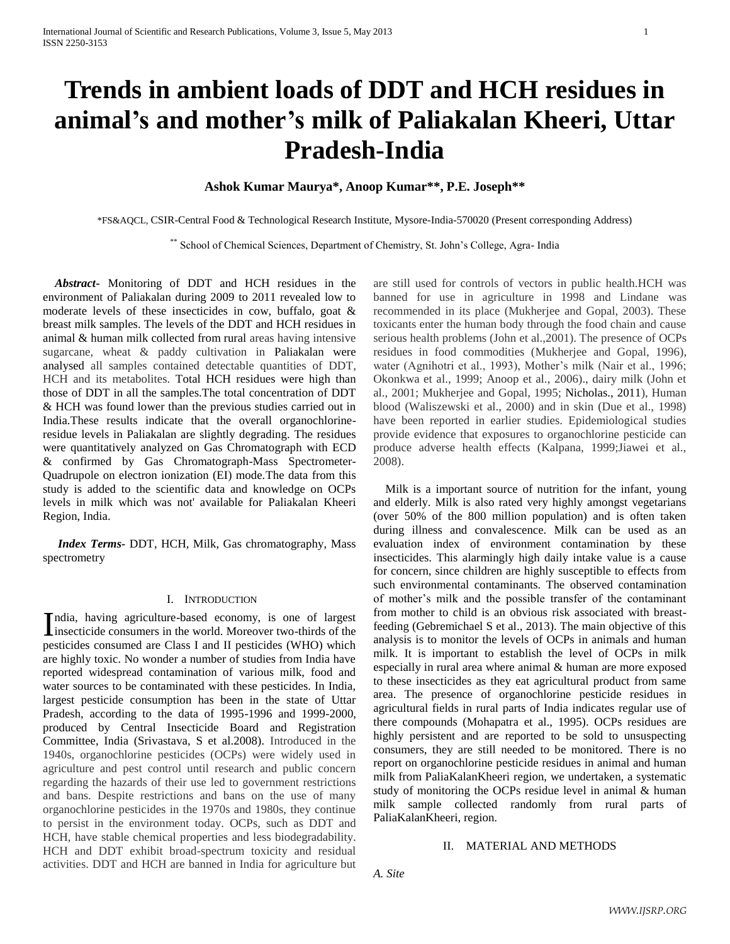# **Trends in ambient loads of DDT and HCH residues in animal's and mother's milk of Paliakalan Kheeri, Uttar Pradesh-India**

# **Ashok Kumar Maurya\*, Anoop Kumar\*\*, P.E. Joseph\*\***

\*FS&AQCL, CSIR-Central Food & Technological Research Institute, Mysore-India-570020 (Present corresponding Address)

\*\* School of Chemical Sciences, Department of Chemistry, St. John's College, Agra- India

 *Abstract***-** Monitoring of DDT and HCH residues in the environment of Paliakalan during 2009 to 2011 revealed low to moderate levels of these insecticides in cow, buffalo, goat & breast milk samples. The levels of the DDT and HCH residues in animal & human milk collected from rural areas having intensive sugarcane, wheat & paddy cultivation in Paliakalan were analysed all samples contained detectable quantities of DDT, HCH and its metabolites. Total HCH residues were high than those of DDT in all the samples.The total concentration of DDT & HCH was found lower than the previous studies carried out in India.These results indicate that the overall organochlorineresidue levels in Paliakalan are slightly degrading. The residues were quantitatively analyzed on Gas Chromatograph with ECD & confirmed by Gas Chromatograph-Mass Spectrometer-Quadrupole on electron ionization (EI) mode.The data from this study is added to the scientific data and knowledge on OCPs levels in milk which was not' available for Paliakalan Kheeri Region, India.

 *Index Terms-* DDT, HCH, Milk, Gas chromatography, Mass spectrometry

## I. INTRODUCTION

ndia, having agriculture-based economy, is one of largest India, having agriculture-based economy, is one of largest<br>insecticide consumers in the world. Moreover two-thirds of the<br> $\frac{1}{2}$ pesticides consumed are Class I and II pesticides (WHO) which are highly toxic. No wonder a number of studies from India have reported widespread contamination of various milk, food and water sources to be contaminated with these pesticides. In India, largest pesticide consumption has been in the state of Uttar Pradesh, according to the data of 1995-1996 and 1999-2000, produced by Central Insecticide Board and Registration Committee, India (Srivastava, S et al.2008). Introduced in the 1940s, organochlorine pesticides (OCPs) were widely used in agriculture and pest control until research and public concern regarding the hazards of their use led to government restrictions and bans. Despite restrictions and bans on the use of many organochlorine pesticides in the 1970s and 1980s, they continue to persist in the environment today. OCPs, such as DDT and HCH, have stable chemical properties and less biodegradability. HCH and DDT exhibit broad-spectrum toxicity and residual activities. DDT and HCH are banned in India for agriculture but

are still used for controls of vectors in public health.HCH was banned for use in agriculture in 1998 and Lindane was recommended in its place (Mukherjee and Gopal, 2003). These toxicants enter the human body through the food chain and cause serious health problems (John et al.,2001). The presence of OCPs residues in food commodities (Mukherjee and Gopal, 1996), water (Agnihotri et al., 1993), Mother's milk (Nair et al., 1996; Okonkwa et al., 1999; Anoop et al., 2006)., dairy milk (John et al., 2001; Mukherjee and Gopal, 1995; Nicholas., 2011), Human blood (Waliszewski et al., 2000) and in skin (Due et al., 1998) have been reported in earlier studies. Epidemiological studies provide evidence that exposures to organochlorine pesticide can produce adverse health effects (Kalpana, 1999;Jiawei et al., 2008).

 Milk is a important source of nutrition for the infant, young and elderly. Milk is also rated very highly amongst vegetarians (over 50% of the 800 million population) and is often taken during illness and convalescence. Milk can be used as an evaluation index of environment contamination by these insecticides. This alarmingly high daily intake value is a cause for concern, since children are highly susceptible to effects from such environmental contaminants. The observed contamination of mother's milk and the possible transfer of the contaminant from mother to child is an obvious risk associated with breastfeeding (Gebremichael S et al., 2013). The main objective of this analysis is to monitor the levels of OCPs in animals and human milk. It is important to establish the level of OCPs in milk especially in rural area where animal & human are more exposed to these insecticides as they eat agricultural product from same area. The presence of organochlorine pesticide residues in agricultural fields in rural parts of India indicates regular use of there compounds (Mohapatra et al., 1995). OCPs residues are highly persistent and are reported to be sold to unsuspecting consumers, they are still needed to be monitored. There is no report on organochlorine pesticide residues in animal and human milk from PaliaKalanKheeri region, we undertaken, a systematic study of monitoring the OCPs residue level in animal & human milk sample collected randomly from rural parts of PaliaKalanKheeri, region.

## II. MATERIAL AND METHODS

*A. Site*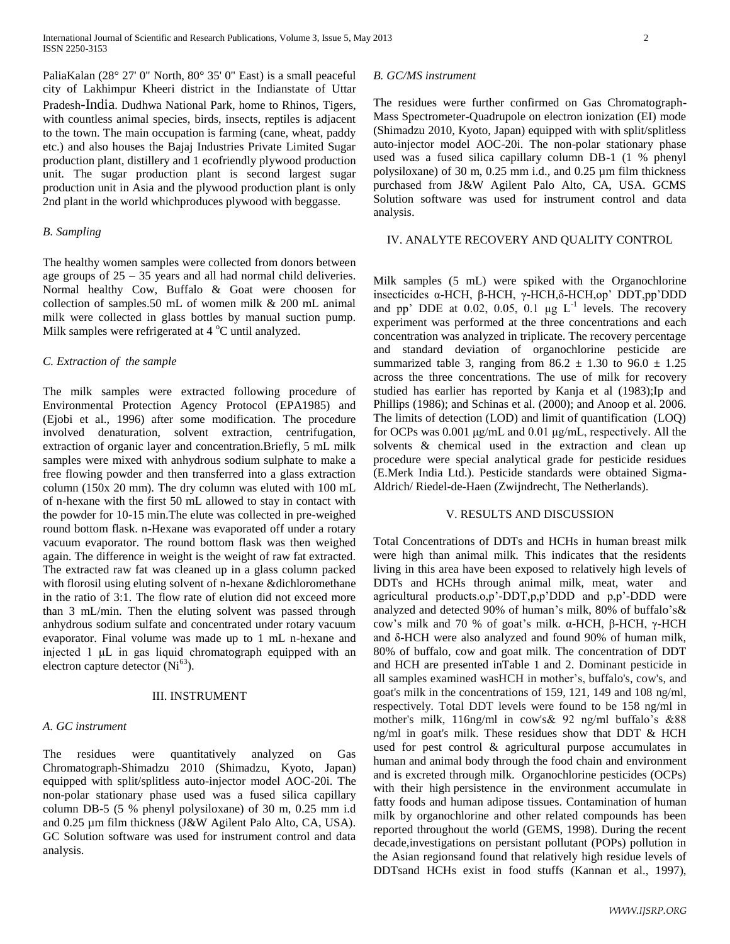PaliaKalan (28° 27' 0" North, 80° 35' 0" East) is a small peaceful city of Lakhimpur [Kheeri district](http://en.wikipedia.org/wiki/Lakhimpur_Kheri_district) in the [Indianstate](http://en.wikipedia.org/wiki/India) of [Uttar](http://en.wikipedia.org/wiki/Uttar_Pradesh)  [Pradesh](http://en.wikipedia.org/wiki/Uttar_Pradesh)-India. Dudhwa National Park, home to Rhinos, Tigers, with countless animal species, birds, insects, reptiles is adjacent to the town. The main occupation is farming (cane, wheat, paddy etc.) and also houses the Bajaj Industries Private Limited Sugar production plant, distillery and 1 ecofriendly plywood production unit. The sugar production plant is second largest sugar production unit in Asia and the plywood production plant is only 2nd plant in the world whichproduces plywood with beggasse.

## *B. Sampling*

The healthy women samples were collected from donors between age groups of  $25 - 35$  years and all had normal child deliveries. Normal healthy Cow, Buffalo & Goat were choosen for collection of samples.50 mL of women milk & 200 mL animal milk were collected in glass bottles by manual suction pump. Milk samples were refrigerated at  $4^{\circ}$ C until analyzed.

## *C. Extraction of the sample*

The milk samples were extracted following procedure of Environmental Protection Agency Protocol (EPA1985) and (Ejobi et al., 1996) after some modification. The procedure involved denaturation, solvent extraction, centrifugation, extraction of organic layer and concentration.Briefly, 5 mL milk samples were mixed with anhydrous sodium sulphate to make a free flowing powder and then transferred into a glass extraction column (150x 20 mm). The dry column was eluted with 100 mL of n-hexane with the first 50 mL allowed to stay in contact with the powder for 10-15 min.The elute was collected in pre-weighed round bottom flask. n-Hexane was evaporated off under a rotary vacuum evaporator. The round bottom flask was then weighed again. The difference in weight is the weight of raw fat extracted. The extracted raw fat was cleaned up in a glass column packed with florosil using eluting solvent of n-hexane &dichloromethane in the ratio of 3:1. The flow rate of elution did not exceed more than 3 mL/min. Then the eluting solvent was passed through anhydrous sodium sulfate and concentrated under rotary vacuum evaporator. Final volume was made up to 1 mL n-hexane and injected 1 μL in gas liquid chromatograph equipped with an electron capture detector  $(Ni^{63})$ .

## III. INSTRUMENT

## *A. GC instrument*

The residues were quantitatively analyzed on Gas Chromatograph-Shimadzu 2010 (Shimadzu, Kyoto, Japan) equipped with split/splitless auto-injector model AOC-20i. The non-polar stationary phase used was a fused silica capillary column DB-5 (5 % phenyl polysiloxane) of 30 m, 0.25 mm i.d and 0.25 µm film thickness (J&W Agilent Palo Alto, CA, USA). GC Solution software was used for instrument control and data analysis.

#### *B. GC/MS instrument*

The residues were further confirmed on Gas Chromatograph-Mass Spectrometer-Quadrupole on electron ionization (EI) mode (Shimadzu 2010, Kyoto, Japan) equipped with with split/splitless auto-injector model AOC-20i. The non-polar stationary phase used was a fused silica capillary column DB-1 (1 % phenyl polysiloxane) of 30 m, 0.25 mm i.d., and 0.25 µm film thickness purchased from J&W Agilent Palo Alto, CA, USA. GCMS Solution software was used for instrument control and data analysis.

## IV. ANALYTE RECOVERY AND QUALITY CONTROL

Milk samples (5 mL) were spiked with the Organochlorine insecticides α-HCH, β-HCH, γ-HCH,δ-HCH,op' DDT,pp'DDD and pp' DDE at  $0.02$ ,  $0.05$ ,  $0.1$   $\mu$ g L<sup>-1</sup> levels. The recovery experiment was performed at the three concentrations and each concentration was analyzed in triplicate. The recovery percentage and standard deviation of organochlorine pesticide are summarized table 3, ranging from  $86.2 \pm 1.30$  to  $96.0 \pm 1.25$ across the three concentrations. The use of milk for recovery studied has earlier has reported by Kanja et al (1983);Ip and Phillips (1986); and Schinas et al. (2000); and Anoop et al. 2006. The limits of detection (LOD) and limit of quantification (LOQ) for OCPs was 0.001 μg/mL and 0.01 μg/mL, respectively. All the solvents & chemical used in the extraction and clean up procedure were special analytical grade for pesticide residues (E.Merk India Ltd.). Pesticide standards were obtained Sigma-Aldrich/ Riedel-de-Haen (Zwijndrecht, The Netherlands).

## V. RESULTS AND DISCUSSION

Total Concentrations of DDTs and HCHs in human breast milk were high than animal milk. This indicates that the residents living in this area have been exposed to relatively high levels of DDTs and HCHs through animal milk, meat, water and agricultural products.o,p'-DDT,p,p'DDD and p,p'-DDD were analyzed and detected 90% of human's milk, 80% of buffalo's& cow's milk and 70 % of goat's milk. α-HCH, β-HCH, γ-HCH and δ-HCH were also analyzed and found 90% of human milk, 80% of buffalo, cow and goat milk. The concentration of DDT and HCH are presented inTable 1 and 2. Dominant pesticide in all samples examined wasHCH in mother's, buffalo's, cow's, and goat's milk in the concentrations of 159, 121, 149 and 108 ng/ml, respectively. Total DDT levels were found to be 158 ng/ml in mother's milk, 116ng/ml in cow's& 92 ng/ml buffalo's &88 ng/ml in goat's milk. These residues show that DDT & HCH used for pest control & agricultural purpose accumulates in human and animal body through the food chain and environment and is excreted through milk. Organochlorine pesticides (OCPs) with their high persistence in the environment accumulate in fatty foods and human adipose tissues. Contamination of human milk by organochlorine and other related compounds has been reported throughout the world (GEMS, 1998). During the recent decade,investigations on persistant pollutant (POPs) pollution in the Asian regionsand found that relatively high residue levels of DDTsand HCHs exist in food stuffs (Kannan et al., 1997),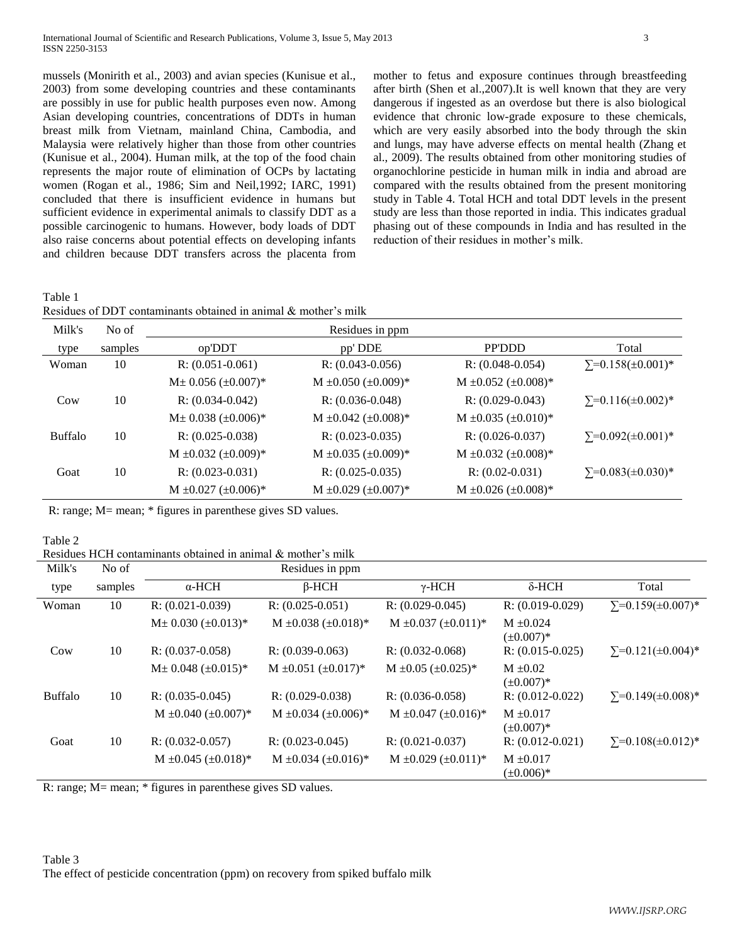mussels (Monirith et al., 2003) and avian species (Kunisue et al., 2003) from some developing countries and these contaminants are possibly in use for public health purposes even now. Among Asian developing countries, concentrations of DDTs in human breast milk from Vietnam, mainland China, Cambodia, and Malaysia were relatively higher than those from other countries (Kunisue et al., 2004). Human milk, at the top of the food chain represents the major route of elimination of OCPs by lactating women (Rogan et al., 1986; Sim and Neil,1992; IARC, 1991) concluded that there is insufficient evidence in humans but sufficient evidence in experimental animals to classify DDT as a possible carcinogenic to humans. However, body loads of DDT also raise concerns about potential effects on developing infants and children because DDT transfers across the placenta from

mother to fetus and exposure continues through breastfeeding after birth (Shen et al.,2007).It is well known that they are very dangerous if ingested as an overdose but there is also biological evidence that chronic low-grade exposure to these chemicals, which are very easily absorbed into the body through the skin and lungs, may have adverse effects on mental health (Zhang et al., 2009). The results obtained from other monitoring studies of organochlorine pesticide in human milk in india and abroad are compared with the results obtained from the present monitoring study in Table 4. Total HCH and total DDT levels in the present study are less than those reported in india. This indicates gradual phasing out of these compounds in India and has resulted in the reduction of their residues in mother's milk.

Table 1

| Residues of DDT contaminants obtained in animal & mother's milk |  |  |  |
|-----------------------------------------------------------------|--|--|--|
|                                                                 |  |  |  |

| Milk's          | No of   |                                | Residues in ppm                |                                |                               |
|-----------------|---------|--------------------------------|--------------------------------|--------------------------------|-------------------------------|
| type            | samples | op'DDT                         | pp' DDE                        | <b>PP'DDD</b>                  | Total                         |
| Woman           | 10      | $R: (0.051-0.061)$             | $R: (0.043 - 0.056)$           | $R: (0.048-0.054)$             | $\Sigma = 0.158(\pm 0.001)^*$ |
|                 |         | $M\pm 0.056~(\pm 0.007)^*$     | M $\pm 0.050$ ( $\pm 0.009$ )* | M $\pm 0.052$ ( $\pm 0.008$ )* |                               |
| C <sub>ow</sub> | 10      | $R: (0.034 - 0.042)$           | $R: (0.036 - 0.048)$           | $R: (0.029 - 0.043)$           | $\Sigma = 0.116(\pm 0.002)^*$ |
|                 |         | $M\pm 0.038$ ( $\pm 0.006$ )*  | M $\pm 0.042$ ( $\pm 0.008$ )* | $M \pm 0.035 \ (\pm 0.010)^*$  |                               |
| <b>Buffalo</b>  | 10      | $R: (0.025-0.038)$             | $R: (0.023 - 0.035)$           | $R: (0.026 - 0.037)$           | $\Sigma = 0.092(\pm 0.001)^*$ |
|                 |         | M $\pm 0.032$ ( $\pm 0.009$ )* | $M \pm 0.035 \ (\pm 0.009)^*$  | M $\pm 0.032$ ( $\pm 0.008$ )* |                               |
| Goat            | 10      | $R: (0.023 - 0.031)$           | $R: (0.025-0.035)$             | $R: (0.02 - 0.031)$            | $\Sigma = 0.083(\pm 0.030)^*$ |
|                 |         | $M \pm 0.027 \ (\pm 0.006)^*$  | $M \pm 0.029 \ (\pm 0.007)^*$  | $M \pm 0.026 (\pm 0.008)^*$    |                               |

R: range; M= mean; \* figures in parenthese gives SD values.

## Table 2

Residues HCH contaminants obtained in animal & mother's milk

| Milk's         | No of   |                                | Residues in ppm                |                               |                                  |                               |
|----------------|---------|--------------------------------|--------------------------------|-------------------------------|----------------------------------|-------------------------------|
| type           | samples | $\alpha$ -HCH                  | $\beta$ -HCH                   | $\gamma$ -HCH                 | $\delta$ -HCH                    | Total                         |
| Woman          | 10      | $R: (0.021 - 0.039)$           | $R: (0.025 - 0.051)$           | $R: (0.029 - 0.045)$          | $R: (0.019 - 0.029)$             | $\Sigma = 0.159(\pm 0.007)^*$ |
|                |         | $M\pm 0.030~(\pm 0.013)^*$     | $M \pm 0.038 \ (\pm 0.018)^*$  | $M \pm 0.037 \ (\pm 0.011)^*$ | $M \pm 0.024$<br>$(\pm 0.007)^*$ |                               |
| Cow            | 10      | $R: (0.037-0.058)$             | $R: (0.039 - 0.063)$           | $R: (0.032 - 0.068)$          | $R: (0.015 - 0.025)$             | $\Sigma = 0.121(\pm 0.004)^*$ |
|                |         | $M\pm 0.048~(\pm 0.015)^*$     | $M \pm 0.051 (\pm 0.017)^*$    | $M \pm 0.05$ ( $\pm 0.025$ )* | $M \pm 0.02$<br>$(\pm 0.007)^*$  |                               |
| <b>Buffalo</b> | 10      | $R: (0.035-0.045)$             | $R: (0.029 - 0.038)$           | $R: (0.036 - 0.058)$          | $R: (0.012 - 0.022)$             | $\Sigma = 0.149(\pm 0.008)^*$ |
|                |         | $M \pm 0.040$ ( $\pm 0.007$ )* | M $\pm 0.034$ ( $\pm 0.006$ )* | $M \pm 0.047 \ (\pm 0.016)^*$ | $M \pm 0.017$<br>$(\pm 0.007)^*$ |                               |
| Goat           | 10      | $R: (0.032 - 0.057)$           | $R: (0.023 - 0.045)$           | $R: (0.021 - 0.037)$          | $R: (0.012 - 0.021)$             | $\Sigma = 0.108(\pm 0.012)^*$ |
|                |         | $M \pm 0.045 \ (\pm 0.018)^*$  | M $\pm 0.034$ ( $\pm 0.016$ )* | $M \pm 0.029 \ (\pm 0.011)^*$ | $M \pm 0.017$<br>$(\pm 0.006)^*$ |                               |

R: range; M= mean; \* figures in parenthese gives SD values.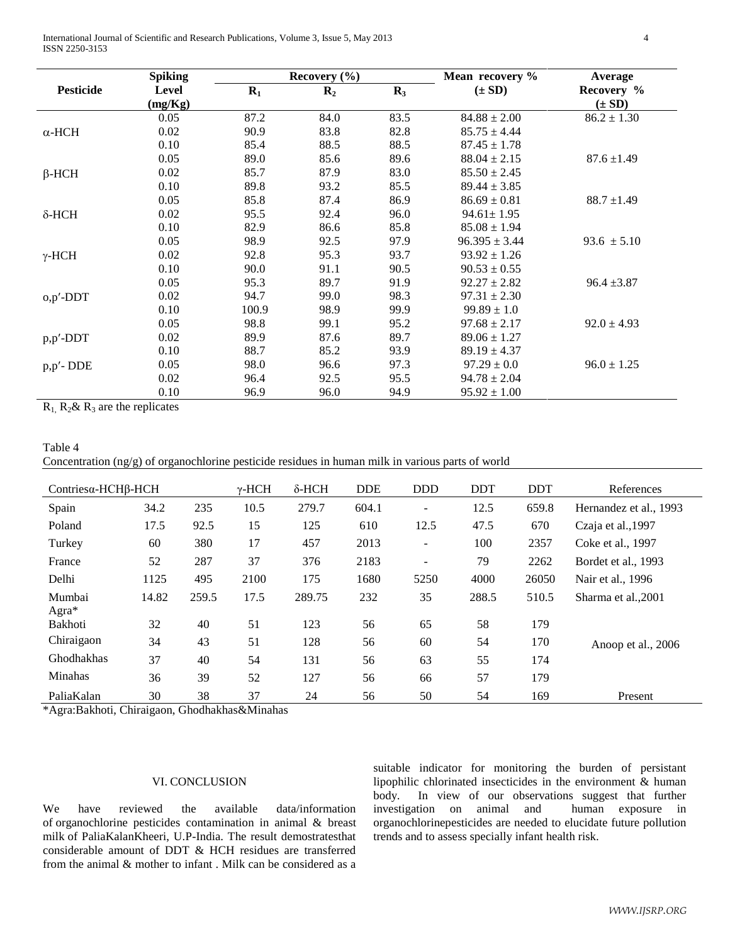International Journal of Scientific and Research Publications, Volume 3, Issue 5, May 2013 4 ISSN 2250-3153

|                                  |                           |      |                  | Mean recovery %   | Average         |
|----------------------------------|---------------------------|------|------------------|-------------------|-----------------|
| Level<br>$R_1$<br>$\mathbf{R}_2$ |                           |      | $(\pm SD)$       | Recovery %        |                 |
| (mg/Kg)                          |                           |      |                  |                   | $(\pm SD)$      |
| 0.05                             | 87.2                      | 84.0 | 83.5             | $84.88 \pm 2.00$  | $86.2 \pm 1.30$ |
| 0.02                             | 90.9                      | 83.8 | 82.8             | $85.75 \pm 4.44$  |                 |
| 0.10                             | 85.4                      | 88.5 | 88.5             | $87.45 \pm 1.78$  |                 |
| 0.05                             | 89.0                      | 85.6 | 89.6             | $88.04 \pm 2.15$  | $87.6 \pm 1.49$ |
| 0.02                             | 85.7                      | 87.9 | 83.0             | $85.50 \pm 2.45$  |                 |
| 0.10                             | 89.8                      | 93.2 | 85.5             | $89.44 \pm 3.85$  |                 |
| 0.05                             | 85.8                      | 87.4 | 86.9             | $86.69 \pm 0.81$  | $88.7 \pm 1.49$ |
| 0.02                             | 95.5                      | 92.4 | 96.0             | $94.61 \pm 1.95$  |                 |
| 0.10                             | 82.9                      | 86.6 | 85.8             | $85.08 \pm 1.94$  |                 |
| 0.05                             | 98.9                      | 92.5 | 97.9             | $96.395 \pm 3.44$ | $93.6 \pm 5.10$ |
| 0.02                             | 92.8                      | 95.3 | 93.7             | $93.92 \pm 1.26$  |                 |
| 0.10                             | 90.0                      | 91.1 | 90.5             | $90.53 \pm 0.55$  |                 |
| 0.05                             | 95.3                      | 89.7 | 91.9             | $92.27 \pm 2.82$  | $96.4 \pm 3.87$ |
| 0.02                             | 94.7                      | 99.0 | 98.3             | $97.31 \pm 2.30$  |                 |
| 0.10                             | 100.9                     | 98.9 | 99.9             | $99.89 \pm 1.0$   |                 |
| 0.05                             | 98.8                      | 99.1 | 95.2             | $97.68 \pm 2.17$  | $92.0 \pm 4.93$ |
| 0.02                             | 89.9                      | 87.6 | 89.7             | $89.06 \pm 1.27$  |                 |
| 0.10                             | 88.7                      | 85.2 | 93.9             | $89.19 \pm 4.37$  |                 |
| 0.05                             | 98.0                      | 96.6 | 97.3             | $97.29 \pm 0.0$   | $96.0 \pm 1.25$ |
| 0.02                             | 96.4                      | 92.5 | 95.5             | $94.78 \pm 2.04$  |                 |
| 0.10                             | 96.9                      | 96.0 | 94.9             | $95.92 \pm 1.00$  |                 |
|                                  | <b>Spiking</b><br>$\cdot$ |      | Recovery $(\% )$ | $R_3$             |                 |

 $R_1$ ,  $R_2$ &  $R_3$  are the replicates

| Table 4                                                                                             |  |  |  |  |
|-----------------------------------------------------------------------------------------------------|--|--|--|--|
| Concentration $(ng/g)$ of organochlorine pesticide residues in human milk in various parts of world |  |  |  |  |

| Contriesα-HCHβ-HCH |       |       | $\gamma$ -HCH | $\delta$ -HCH | <b>DDE</b> | <b>DDD</b>               | <b>DDT</b> | <b>DDT</b> | References             |  |
|--------------------|-------|-------|---------------|---------------|------------|--------------------------|------------|------------|------------------------|--|
| Spain              | 34.2  | 235   | 10.5          | 279.7         | 604.1      | $\overline{a}$           | 12.5       | 659.8      | Hernandez et al., 1993 |  |
| Poland             | 17.5  | 92.5  | 15            | 125           | 610        | 12.5                     | 47.5       | 670        | Czaja et al., 1997     |  |
| Turkey             | 60    | 380   | 17            | 457           | 2013       | $\overline{\phantom{a}}$ | 100        | 2357       | Coke et al., 1997      |  |
| France             | 52    | 287   | 37            | 376           | 2183       | $\overline{\phantom{a}}$ | 79         | 2262       | Bordet et al., 1993    |  |
| Delhi              | 1125  | 495   | 2100          | 175           | 1680       | 5250                     | 4000       | 26050      | Nair et al., 1996      |  |
| Mumbai<br>Agra*    | 14.82 | 259.5 | 17.5          | 289.75        | 232        | 35                       | 288.5      | 510.5      | Sharma et al., 2001    |  |
| Bakhoti            | 32    | 40    | 51            | 123           | 56         | 65                       | 58         | 179        |                        |  |
| Chiraigaon         | 34    | 43    | 51            | 128           | 56         | 60                       | 54         | 170        | Anoop et al., 2006     |  |
| Ghodhakhas         | 37    | 40    | 54            | 131           | 56         | 63                       | 55         | 174        |                        |  |
| Minahas            | 36    | 39    | 52            | 127           | 56         | 66                       | 57         | 179        |                        |  |
| PaliaKalan         | 30    | 38    | 37            | 24            | 56         | 50                       | 54         | 169        | Present                |  |

\*Agra:Bakhoti, Chiraigaon, Ghodhakhas&Minahas

# VI. CONCLUSION

We have reviewed the available data/information of organochlorine pesticides contamination in animal & breast milk of PaliaKalanKheeri, U.P-India. The result demostratesthat considerable amount of DDT & HCH residues are transferred from the animal & mother to infant . Milk can be considered as a

suitable indicator for monitoring the burden of persistant lipophilic chlorinated insecticides in the environment & human body. In view of our observations suggest that further investigation on animal and human exposure in organochlorinepesticides are needed to elucidate future pollution trends and to assess specially infant health risk.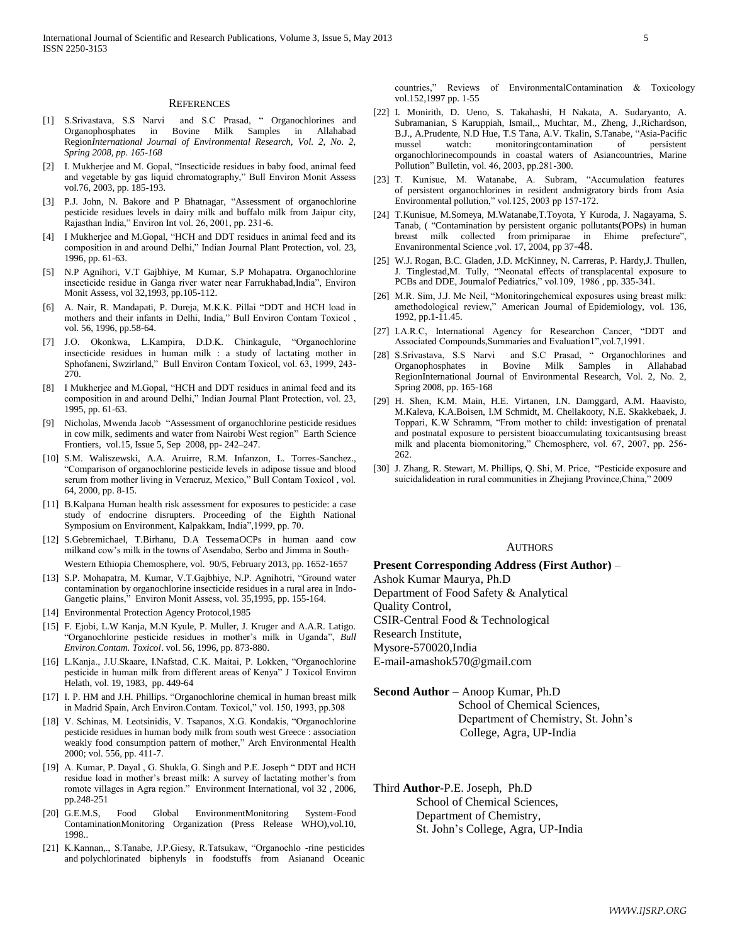#### **REFERENCES**

- [1] S.Srivastava, S.S Narvi and S.C Prasad, " Organochlorines and Organophosphates in Bovine Milk Samples in Allahabad Region*International Journal of Environmental Research, Vol. 2, No. 2, Spring 2008, pp. 165-168*
- [2] I. Mukherjee and M. Gopal, "Insecticide residues in baby food, animal feed and vegetable by gas liquid chromatography," Bull Environ Monit Assess vol.76, 2003, pp. 185-193.
- [3] P.J. John, N. Bakore and P Bhatnagar, "Assessment of organochlorine pesticide residues levels in dairy milk and buffalo milk from Jaipur city, Rajasthan India," Environ Int vol. 26, 2001, pp. 231-6.
- [4] I Mukherjee and M.Gopal, "HCH and DDT residues in animal feed and its composition in and around Delhi," Indian Journal Plant Protection, vol. 23, 1996, pp. 61-63.
- [5] N.P Agnihori, V.T Gajbhiye, M Kumar, S.P Mohapatra. Organochlorine insecticide residue in Ganga river water near Farrukhabad,India", Environ Monit Assess, vol 32,1993, pp.105-112.
- [6] A. Nair, R. Mandapati, P. Dureja, M.K.K. Pillai "DDT and HCH load in mothers and their infants in Delhi, India," Bull Environ Contam Toxicol , vol. 56, 1996, pp.58-64.
- [7] J.O. Okonkwa, L.Kampira, D.D.K. Chinkagule, "Organochlorine insecticide residues in human milk : a study of lactating mother in Sphofaneni, Swzirland," Bull Environ Contam Toxicol, vol. 63, 1999, 243- 270.
- [8] I Mukherjee and M.Gopal, "HCH and DDT residues in animal feed and its composition in and around Delhi," Indian Journal Plant Protection, vol. 23, 1995, pp. 61-63.
- [9] Nicholas, Mwenda Jacob "Assessment of organochlorine pesticide residues in cow milk, sediments and water from Nairobi West region" [Earth Science](http://www.sciencedirect.com/science/journal/18725791)  [Frontiers,](http://www.sciencedirect.com/science/journal/18725791) [vol.15, Issue 5,](http://www.sciencedirect.com/science/journal/18725791/15/5) Sep 2008, pp- 242–247.
- [10] S.M. Waliszewski, A.A. Aruirre, R.M. Infanzon, L. Torres-Sanchez., "Comparison of organochlorine pesticide levels in adipose tissue and blood serum from mother living in Veracruz, Mexico," Bull Contam Toxicol , vol. 64, 2000, pp. 8-15.
- [11] B.Kalpana Human health risk assessment for exposures to pesticide: a case study of endocrine disrupters. Proceeding of the Eighth National Symposium on Environment, Kalpakkam, India",1999, pp. 70.
- [12] S.Gebremichael, T.Birhanu, D.A TessemaOCPs in human aand cow milkand cow's milk in the towns of Asendabo, Serbo and Jimma in South-Western Ethiopia Chemosphere, vol. 90/5, February 2013, pp. 1652-1657
- [13] S.P. Mohapatra, M. Kumar, V.T.Gajbhiye, N.P. Agnihotri, "Ground water contamination by organochlorine insecticide residues in a rural area in Indo-Gangetic plains," Environ Monit Assess, vol. 35,1995, pp. 155-164.
- [14] Environmental Protection Agency Protocol,1985
- [15] F. Ejobi, L.W Kanja, M.N Kyule, P. Muller, J. Kruger and A.A.R. Latigo. "Organochlorine pesticide residues in mother's milk in Uganda", *Bull Environ.Contam. Toxicol*. vol. 56, 1996, pp. 873-880.
- [16] L.Kanja., J.U.Skaare, I.Nafstad, C.K. Maitai, P. Lokken, "Organochlorine pesticide in human milk from different areas of Kenya" J Toxicol Environ Helath, vol. 19, 1983, pp. 449-64
- [17] I. P. HM and J.H. Phillips. "Organochlorine chemical in human breast milk in Madrid Spain, Arch Environ.Contam. Toxicol," vol. 150, 1993, pp.308
- [18] V. Schinas, M. Leotsinidis, V. Tsapanos, X.G. Kondakis, "Organochlorine pesticide residues in human body milk from south west Greece : association weakly food consumption pattern of mother," Arch Environmental Health 2000; vol. 556, pp. 411-7.
- [19] A. Kumar, P. Dayal , G. Shukla, G. Singh and P.E. Joseph " DDT and HCH residue load in mother's breast milk: A survey of lactating mother's from romote villages in Agra region." Environment International, vol 32 , 2006, pp.248-251
- [20] G.E.M.S, Food Global EnvironmentMonitoring System-Food ContaminationMonitoring Organization (Press Release WHO),vol.10, 1998..
- [21] K.Kannan,., S.Tanabe, J.P.Giesy, R.Tatsukaw, "Organochlo -rine pesticides and polychlorinated biphenyls in foodstuffs from Asianand Oceanic

countries," Reviews of EnvironmentalContamination & Toxicology vol.152,1997 pp. 1-55

- [22] I. Monirith, D. Ueno, S. Takahashi, H Nakata, A. Sudaryanto, A. Subramanian, S Karuppiah, Ismail,., Muchtar, M., Zheng, J.,Richardson, B.J., A.Prudente, N.D Hue, T.S Tana, A.V. Tkalin, S.Tanabe, "Asia-Pacific mussel watch: monitoringcontamination of organochlorinecompounds in coastal waters of Asiancountries, Marine Pollution" Bulletin, vol. 46, 2003, pp.281-300.
- [23] T. Kunisue, M. Watanabe, A. Subram, "Accumulation features of persistent organochlorines in resident andmigratory birds from Asia Environmental pollution," vol.125, 2003 pp 157-172.
- [24] T.Kunisue, M.Someya, M.Watanabe,T.Toyota, Y Kuroda, J. Nagayama, S. Tanab, ( "Contamination by persistent organic pollutants(POPs) in human breast milk collected from primiparae in Ehime prefecture", Envanironmental Science ,vol. 17, 2004, pp 37-48.
- [25] W.J. Rogan, B.C. Gladen, J.D. McKinney, N. Carreras, P. Hardy,J. Thullen, J. Tinglestad,M. Tully, "Neonatal effects of transplacental exposure to PCBs and DDE, Journalof Pediatrics," vol.109, 1986 , pp. 335-341.
- [26] M.R. Sim, J.J. Mc Neil, "Monitoringchemical exposures using breast milk: amethodological review," American Journal of Epidemiology, vol. 136, 1992, pp.1-11.45.
- [27] I.A.R.C, International Agency for Researchon Cancer, "DDT and Associated Compounds,Summaries and Evaluation1",vol.7,1991.
- [28] S.Srivastava, S.S Narvi and S.C Prasad, " Organochlorines and Organophosphates in Bovine Milk Samples in Allahabad RegionInternational Journal of Environmental Research, Vol. 2, No. 2, Spring 2008, pp. 165-168
- [29] H. Shen, K.M. Main, H.E. Virtanen, I.N. Damggard, A.M. Haavisto, M.Kaleva, K.A.Boisen, I.M Schmidt, M. Chellakooty, N.E. Skakkebaek, J. Toppari, K.W Schramm, "From mother to child: investigation of prenatal and postnatal exposure to persistent bioaccumulating toxicantsusing breast milk and placenta biomonitoring," Chemosphere, vol. 67, 2007, pp. 256- 262.
- [30] J. Zhang, R. Stewart, M. Phillips, Q. Shi, M. Price, "Pesticide exposure and suicidalideation in rural communities in Zhejiang Province,China," 2009

#### **AUTHORS**

**Present Corresponding Address (First Author)** –

Ashok Kumar Maurya, Ph.D

Department of Food Safety & Analytical

Quality Control,

CSIR-Central Food & Technological

Research Institute,

Mysore-570020,India

E-mail-amashok570@gmail.com

**Second Author** – Anoop Kumar, Ph.D

 School of Chemical Sciences, Department of Chemistry, St. John's College, Agra, UP-India

Third **Author-**P.E. Joseph, Ph.D

School of Chemical Sciences, Department of Chemistry, St. John's College, Agra, UP-India